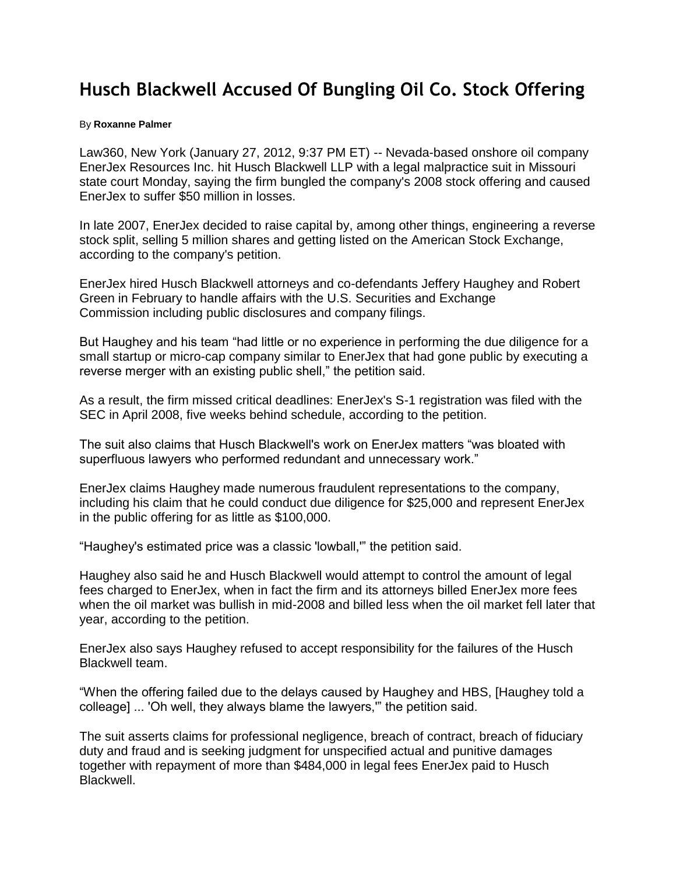## **Husch Blackwell Accused Of Bungling Oil Co. Stock Offering**

## By **Roxanne Palmer**

Law360, New York (January 27, 2012, 9:37 PM ET) -- Nevada-based onshore oil company EnerJex Resources Inc. hit [Husch Blackwell LLP](http://www.law360.com/firms/husch-blackwell) with a legal malpractice suit in Missouri state court Monday, saying the firm bungled the company's 2008 stock offering and caused EnerJex to suffer \$50 million in losses.

In late 2007, EnerJex decided to raise capital by, among other things, engineering a reverse stock split, selling 5 million shares and getting listed on the American Stock Exchange, according to the company's petition.

EnerJex hired Husch Blackwell attorneys and co-defendants Jeffery Haughey and Robert Green in February to handle affairs with the U.S. [Securities and Exchange](http://www.law360.com/agencies/securities-and-exchange-commission)  [Commission](http://www.law360.com/agencies/securities-and-exchange-commission) including public disclosures and company filings.

But Haughey and his team "had little or no experience in performing the due diligence for a small startup or micro-cap company similar to EnerJex that had gone public by executing a reverse merger with an existing public shell," the petition said.

As a result, the firm missed critical deadlines: EnerJex's S-1 registration was filed with the SEC in April 2008, five weeks behind schedule, according to the petition.

The suit also claims that Husch Blackwell's work on EnerJex matters "was bloated with superfluous lawyers who performed redundant and unnecessary work."

EnerJex claims Haughey made numerous fraudulent representations to the company, including his claim that he could conduct due diligence for \$25,000 and represent EnerJex in the public offering for as little as \$100,000.

"Haughey's estimated price was a classic 'lowball,'" the petition said.

Haughey also said he and Husch Blackwell would attempt to control the amount of legal fees charged to EnerJex, when in fact the firm and its attorneys billed EnerJex more fees when the oil market was bullish in mid-2008 and billed less when the oil market fell later that year, according to the petition.

EnerJex also says Haughey refused to accept responsibility for the failures of the Husch Blackwell team.

"When the offering failed due to the delays caused by Haughey and HBS, [Haughey told a colleage] ... 'Oh well, they always blame the lawyers,'" the petition said.

The suit asserts claims for professional negligence, breach of contract, breach of fiduciary duty and fraud and is seeking judgment for unspecified actual and punitive damages together with repayment of more than \$484,000 in legal fees EnerJex paid to Husch Blackwell.